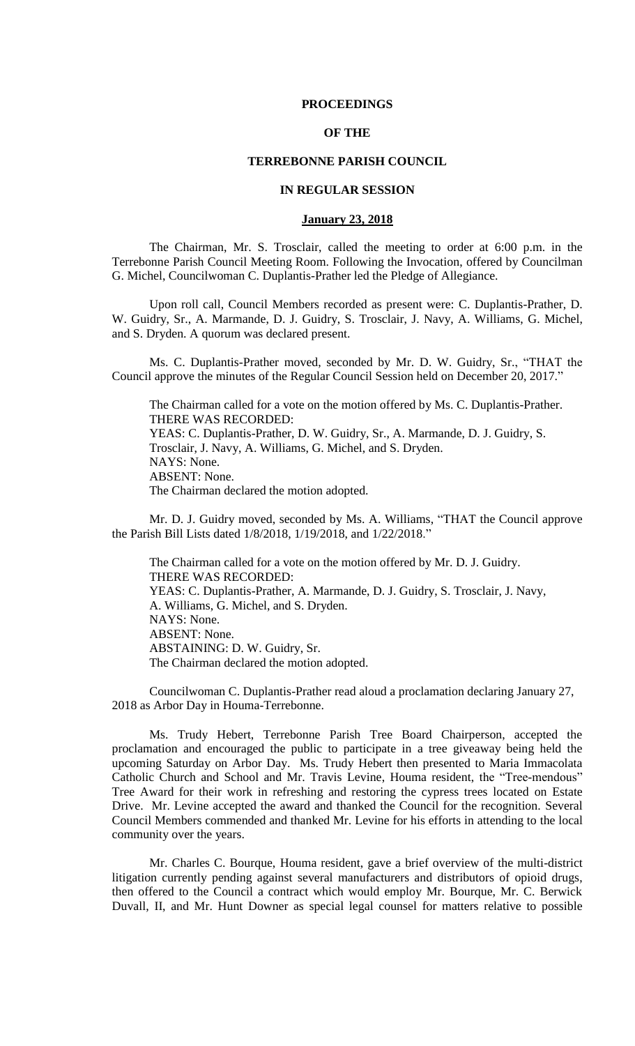### **PROCEEDINGS**

# **OF THE**

# **TERREBONNE PARISH COUNCIL**

### **IN REGULAR SESSION**

#### **January 23, 2018**

The Chairman, Mr. S. Trosclair, called the meeting to order at 6:00 p.m. in the Terrebonne Parish Council Meeting Room. Following the Invocation, offered by Councilman G. Michel, Councilwoman C. Duplantis-Prather led the Pledge of Allegiance.

Upon roll call, Council Members recorded as present were: C. Duplantis-Prather, D. W. Guidry, Sr., A. Marmande, D. J. Guidry, S. Trosclair, J. Navy, A. Williams, G. Michel, and S. Dryden. A quorum was declared present.

Ms. C. Duplantis-Prather moved, seconded by Mr. D. W. Guidry, Sr., "THAT the Council approve the minutes of the Regular Council Session held on December 20, 2017."

The Chairman called for a vote on the motion offered by Ms. C. Duplantis-Prather. THERE WAS RECORDED: YEAS: C. Duplantis-Prather, D. W. Guidry, Sr., A. Marmande, D. J. Guidry, S. Trosclair, J. Navy, A. Williams, G. Michel, and S. Dryden. NAYS: None. ABSENT: None. The Chairman declared the motion adopted.

Mr. D. J. Guidry moved, seconded by Ms. A. Williams, "THAT the Council approve the Parish Bill Lists dated 1/8/2018, 1/19/2018, and 1/22/2018."

The Chairman called for a vote on the motion offered by Mr. D. J. Guidry. THERE WAS RECORDED: YEAS: C. Duplantis-Prather, A. Marmande, D. J. Guidry, S. Trosclair, J. Navy, A. Williams, G. Michel, and S. Dryden. NAYS: None. ABSENT: None. ABSTAINING: D. W. Guidry, Sr. The Chairman declared the motion adopted.

Councilwoman C. Duplantis-Prather read aloud a proclamation declaring January 27, 2018 as Arbor Day in Houma-Terrebonne.

Ms. Trudy Hebert, Terrebonne Parish Tree Board Chairperson, accepted the proclamation and encouraged the public to participate in a tree giveaway being held the upcoming Saturday on Arbor Day. Ms. Trudy Hebert then presented to Maria Immacolata Catholic Church and School and Mr. Travis Levine, Houma resident, the "Tree-mendous" Tree Award for their work in refreshing and restoring the cypress trees located on Estate Drive. Mr. Levine accepted the award and thanked the Council for the recognition. Several Council Members commended and thanked Mr. Levine for his efforts in attending to the local community over the years.

Mr. Charles C. Bourque, Houma resident, gave a brief overview of the multi-district litigation currently pending against several manufacturers and distributors of opioid drugs, then offered to the Council a contract which would employ Mr. Bourque, Mr. C. Berwick Duvall, II, and Mr. Hunt Downer as special legal counsel for matters relative to possible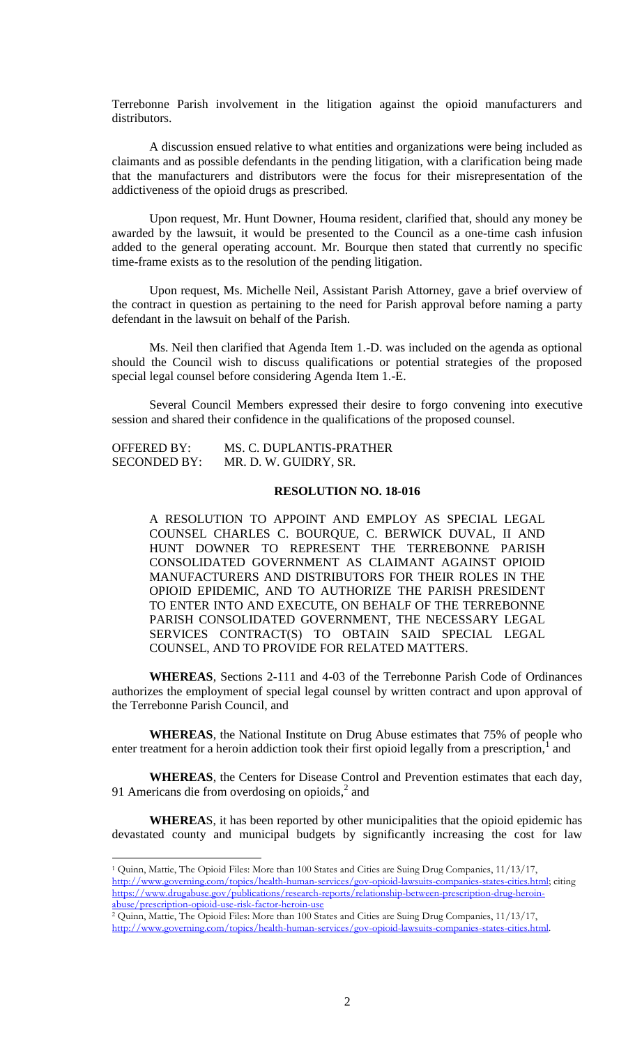Terrebonne Parish involvement in the litigation against the opioid manufacturers and distributors.

A discussion ensued relative to what entities and organizations were being included as claimants and as possible defendants in the pending litigation, with a clarification being made that the manufacturers and distributors were the focus for their misrepresentation of the addictiveness of the opioid drugs as prescribed.

Upon request, Mr. Hunt Downer, Houma resident, clarified that, should any money be awarded by the lawsuit, it would be presented to the Council as a one-time cash infusion added to the general operating account. Mr. Bourque then stated that currently no specific time-frame exists as to the resolution of the pending litigation.

Upon request, Ms. Michelle Neil, Assistant Parish Attorney, gave a brief overview of the contract in question as pertaining to the need for Parish approval before naming a party defendant in the lawsuit on behalf of the Parish.

Ms. Neil then clarified that Agenda Item 1.-D. was included on the agenda as optional should the Council wish to discuss qualifications or potential strategies of the proposed special legal counsel before considering Agenda Item 1.-E.

Several Council Members expressed their desire to forgo convening into executive session and shared their confidence in the qualifications of the proposed counsel.

| <b>OFFERED BY:</b>  | MS. C. DUPLANTIS-PRATHER |
|---------------------|--------------------------|
| <b>SECONDED BY:</b> | MR. D. W. GUIDRY, SR.    |

 $\overline{a}$ 

#### **RESOLUTION NO. 18-016**

A RESOLUTION TO APPOINT AND EMPLOY AS SPECIAL LEGAL COUNSEL CHARLES C. BOURQUE, C. BERWICK DUVAL, II AND HUNT DOWNER TO REPRESENT THE TERREBONNE PARISH CONSOLIDATED GOVERNMENT AS CLAIMANT AGAINST OPIOID MANUFACTURERS AND DISTRIBUTORS FOR THEIR ROLES IN THE OPIOID EPIDEMIC, AND TO AUTHORIZE THE PARISH PRESIDENT TO ENTER INTO AND EXECUTE, ON BEHALF OF THE TERREBONNE PARISH CONSOLIDATED GOVERNMENT, THE NECESSARY LEGAL SERVICES CONTRACT(S) TO OBTAIN SAID SPECIAL LEGAL COUNSEL, AND TO PROVIDE FOR RELATED MATTERS.

**WHEREAS**, Sections 2-111 and 4-03 of the Terrebonne Parish Code of Ordinances authorizes the employment of special legal counsel by written contract and upon approval of the Terrebonne Parish Council, and

**WHEREAS**, the National Institute on Drug Abuse estimates that 75% of people who enter treatment for a heroin addiction took their first opioid legally from a prescription, $\frac{1}{1}$  and

**WHEREAS**, the Centers for Disease Control and Prevention estimates that each day, 91 Americans die from overdosing on opioids, $<sup>2</sup>$  and</sup>

**WHEREA**S, it has been reported by other municipalities that the opioid epidemic has devastated county and municipal budgets by significantly increasing the cost for law

<sup>1</sup> Quinn, Mattie, The Opioid Files: More than 100 States and Cities are Suing Drug Companies, 11/13/17, [http://www.governing.com/topics/health-human-services/gov-opioid-lawsuits-companies-states-cities.html;](http://www.governing.com/topics/health-human-services/gov-opioid-lawsuits-companies-states-cities.html) citing [https://www.drugabuse.gov/publications/research-reports/relationship-between-prescription-drug-heroin](https://www.drugabuse.gov/publications/research-reports/relationship-between-prescription-drug-heroin-abuse/prescription-opioid-use-risk-factor-heroin-use)[abuse/prescription-opioid-use-risk-factor-heroin-use](https://www.drugabuse.gov/publications/research-reports/relationship-between-prescription-drug-heroin-abuse/prescription-opioid-use-risk-factor-heroin-use)

<sup>2</sup> Quinn, Mattie, The Opioid Files: More than 100 States and Cities are Suing Drug Companies, 11/13/17, [http://www.governing.com/topics/health-human-services/gov-opioid-lawsuits-companies-states-cities.html.](http://www.governing.com/topics/health-human-services/gov-opioid-lawsuits-companies-states-cities.html)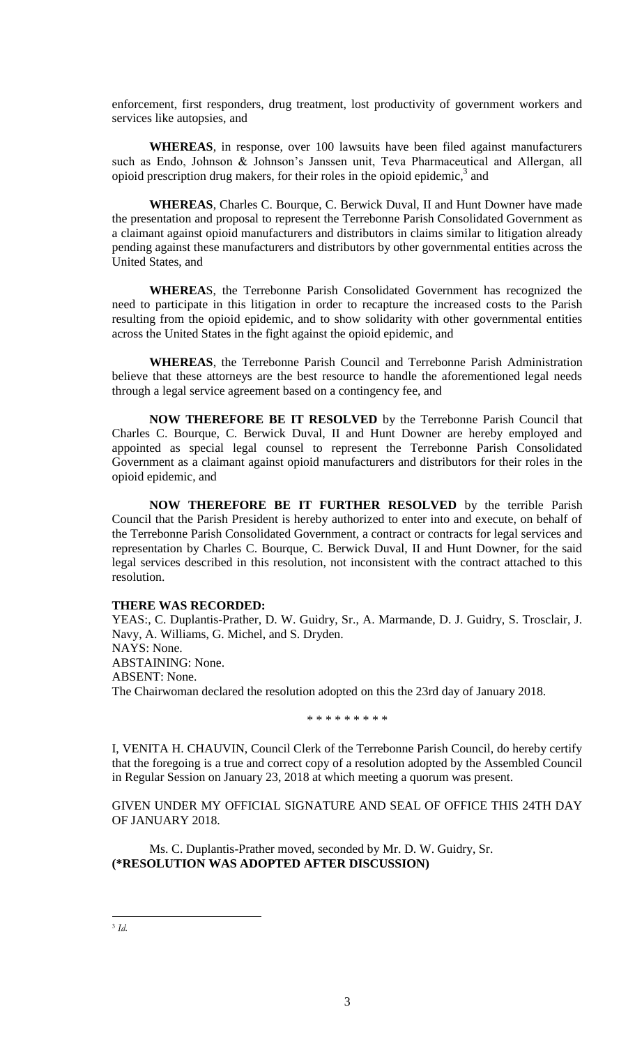enforcement, first responders, drug treatment, lost productivity of government workers and services like autopsies, and

**WHEREAS**, in response, over 100 lawsuits have been filed against manufacturers such as Endo, Johnson & Johnson's Janssen unit, Teva Pharmaceutical and Allergan, all opioid prescription drug makers, for their roles in the opioid epidemic, $3$  and

**WHEREAS**, Charles C. Bourque, C. Berwick Duval, II and Hunt Downer have made the presentation and proposal to represent the Terrebonne Parish Consolidated Government as a claimant against opioid manufacturers and distributors in claims similar to litigation already pending against these manufacturers and distributors by other governmental entities across the United States, and

**WHEREA**S, the Terrebonne Parish Consolidated Government has recognized the need to participate in this litigation in order to recapture the increased costs to the Parish resulting from the opioid epidemic, and to show solidarity with other governmental entities across the United States in the fight against the opioid epidemic, and

**WHEREAS**, the Terrebonne Parish Council and Terrebonne Parish Administration believe that these attorneys are the best resource to handle the aforementioned legal needs through a legal service agreement based on a contingency fee, and

**NOW THEREFORE BE IT RESOLVED** by the Terrebonne Parish Council that Charles C. Bourque, C. Berwick Duval, II and Hunt Downer are hereby employed and appointed as special legal counsel to represent the Terrebonne Parish Consolidated Government as a claimant against opioid manufacturers and distributors for their roles in the opioid epidemic, and

**NOW THEREFORE BE IT FURTHER RESOLVED** by the terrible Parish Council that the Parish President is hereby authorized to enter into and execute, on behalf of the Terrebonne Parish Consolidated Government, a contract or contracts for legal services and representation by Charles C. Bourque, C. Berwick Duval, II and Hunt Downer, for the said legal services described in this resolution, not inconsistent with the contract attached to this resolution.

### **THERE WAS RECORDED:**

YEAS:, C. Duplantis-Prather, D. W. Guidry, Sr., A. Marmande, D. J. Guidry, S. Trosclair, J. Navy, A. Williams, G. Michel, and S. Dryden. NAYS: None. ABSTAINING: None. ABSENT: None. The Chairwoman declared the resolution adopted on this the 23rd day of January 2018.

\* \* \* \* \* \* \* \* \*

I, VENITA H. CHAUVIN, Council Clerk of the Terrebonne Parish Council, do hereby certify that the foregoing is a true and correct copy of a resolution adopted by the Assembled Council in Regular Session on January 23, 2018 at which meeting a quorum was present.

GIVEN UNDER MY OFFICIAL SIGNATURE AND SEAL OF OFFICE THIS 24TH DAY OF JANUARY 2018.

Ms. C. Duplantis-Prather moved, seconded by Mr. D. W. Guidry, Sr. **(\*RESOLUTION WAS ADOPTED AFTER DISCUSSION)**

 $\overline{a}$ 3 *Id.*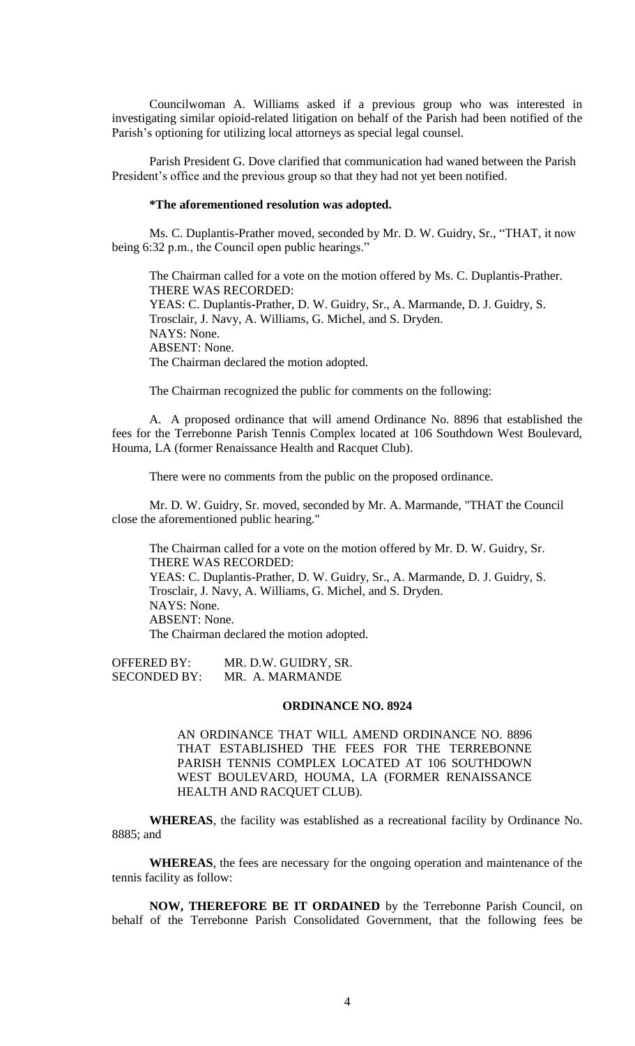Councilwoman A. Williams asked if a previous group who was interested in investigating similar opioid-related litigation on behalf of the Parish had been notified of the Parish's optioning for utilizing local attorneys as special legal counsel.

Parish President G. Dove clarified that communication had waned between the Parish President's office and the previous group so that they had not yet been notified.

### **\*The aforementioned resolution was adopted.**

Ms. C. Duplantis-Prather moved, seconded by Mr. D. W. Guidry, Sr., "THAT, it now being 6:32 p.m., the Council open public hearings."

The Chairman called for a vote on the motion offered by Ms. C. Duplantis-Prather. THERE WAS RECORDED: YEAS: C. Duplantis-Prather, D. W. Guidry, Sr., A. Marmande, D. J. Guidry, S. Trosclair, J. Navy, A. Williams, G. Michel, and S. Dryden. NAYS: None. ABSENT: None. The Chairman declared the motion adopted.

The Chairman recognized the public for comments on the following:

A. A proposed ordinance that will amend Ordinance No. 8896 that established the fees for the Terrebonne Parish Tennis Complex located at 106 Southdown West Boulevard, Houma, LA (former Renaissance Health and Racquet Club).

There were no comments from the public on the proposed ordinance.

Mr. D. W. Guidry, Sr. moved, seconded by Mr. A. Marmande, "THAT the Council close the aforementioned public hearing."

The Chairman called for a vote on the motion offered by Mr. D. W. Guidry, Sr. THERE WAS RECORDED: YEAS: C. Duplantis-Prather, D. W. Guidry, Sr., A. Marmande, D. J. Guidry, S. Trosclair, J. Navy, A. Williams, G. Michel, and S. Dryden. NAYS: None. ABSENT: None. The Chairman declared the motion adopted.

OFFERED BY: MR. D.W. GUIDRY, SR. SECONDED BY: MR. A. MARMANDE

### **ORDINANCE NO. 8924**

AN ORDINANCE THAT WILL AMEND ORDINANCE NO. 8896 THAT ESTABLISHED THE FEES FOR THE TERREBONNE PARISH TENNIS COMPLEX LOCATED AT 106 SOUTHDOWN WEST BOULEVARD, HOUMA, LA (FORMER RENAISSANCE HEALTH AND RACQUET CLUB).

**WHEREAS**, the facility was established as a recreational facility by Ordinance No. 8885; and

**WHEREAS**, the fees are necessary for the ongoing operation and maintenance of the tennis facility as follow:

**NOW, THEREFORE BE IT ORDAINED** by the Terrebonne Parish Council, on behalf of the Terrebonne Parish Consolidated Government, that the following fees be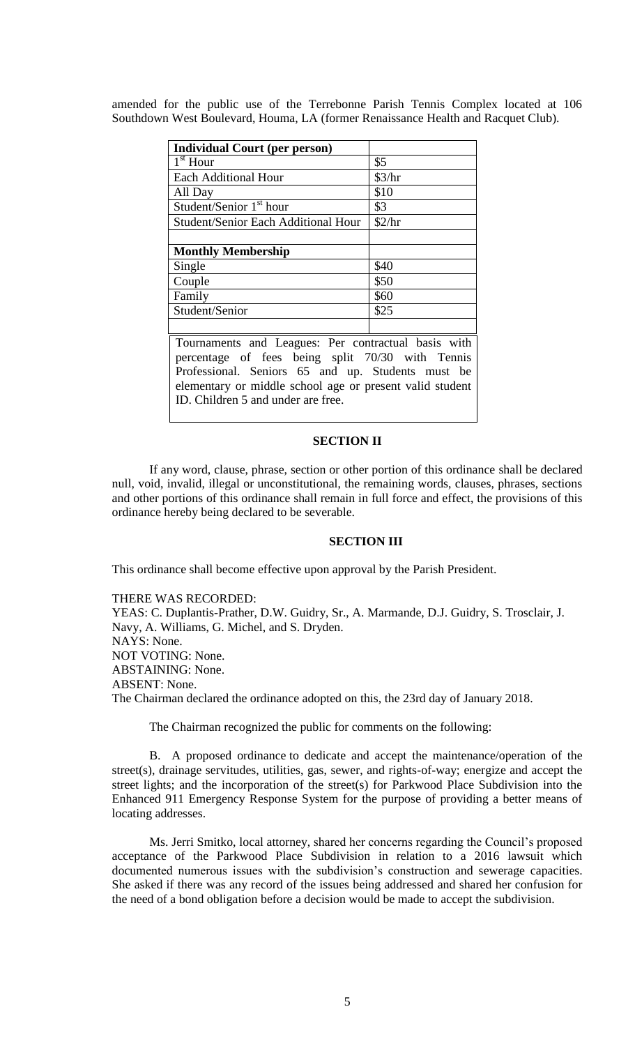amended for the public use of the Terrebonne Parish Tennis Complex located at 106 Southdown West Boulevard, Houma, LA (former Renaissance Health and Racquet Club).

| <b>Individual Court (per person)</b>                |        |  |
|-----------------------------------------------------|--------|--|
| $\overline{1}^{\text{st}}$ Hour                     | \$5    |  |
| <b>Each Additional Hour</b>                         | \$3/hr |  |
| All Day                                             | \$10   |  |
| Student/Senior 1 <sup>st</sup> hour                 | \$3    |  |
| <b>Student/Senior Each Additional Hour</b>          | \$2/hr |  |
|                                                     |        |  |
| <b>Monthly Membership</b>                           |        |  |
| Single                                              | \$40   |  |
| Couple                                              | \$50   |  |
| Family                                              | \$60   |  |
| Student/Senior                                      | \$25   |  |
|                                                     |        |  |
| Tournaments and Leagues: Per contractual basis with |        |  |

percentage of fees being split 70/30 with Tennis Professional. Seniors 65 and up. Students must be elementary or middle school age or present valid student ID. Children 5 and under are free.

#### **SECTION II**

If any word, clause, phrase, section or other portion of this ordinance shall be declared null, void, invalid, illegal or unconstitutional, the remaining words, clauses, phrases, sections and other portions of this ordinance shall remain in full force and effect, the provisions of this ordinance hereby being declared to be severable.

# **SECTION III**

This ordinance shall become effective upon approval by the Parish President.

# THERE WAS RECORDED:

YEAS: C. Duplantis-Prather, D.W. Guidry, Sr., A. Marmande, D.J. Guidry, S. Trosclair, J. Navy, A. Williams, G. Michel, and S. Dryden. NAYS: None. NOT VOTING: None. ABSTAINING: None. ABSENT: None. The Chairman declared the ordinance adopted on this, the 23rd day of January 2018.

The Chairman recognized the public for comments on the following:

B. A proposed ordinance to dedicate and accept the maintenance/operation of the street(s), drainage servitudes, utilities, gas, sewer, and rights-of-way; energize and accept the street lights; and the incorporation of the street(s) for Parkwood Place Subdivision into the Enhanced 911 Emergency Response System for the purpose of providing a better means of locating addresses.

Ms. Jerri Smitko, local attorney, shared her concerns regarding the Council's proposed acceptance of the Parkwood Place Subdivision in relation to a 2016 lawsuit which documented numerous issues with the subdivision's construction and sewerage capacities. She asked if there was any record of the issues being addressed and shared her confusion for the need of a bond obligation before a decision would be made to accept the subdivision.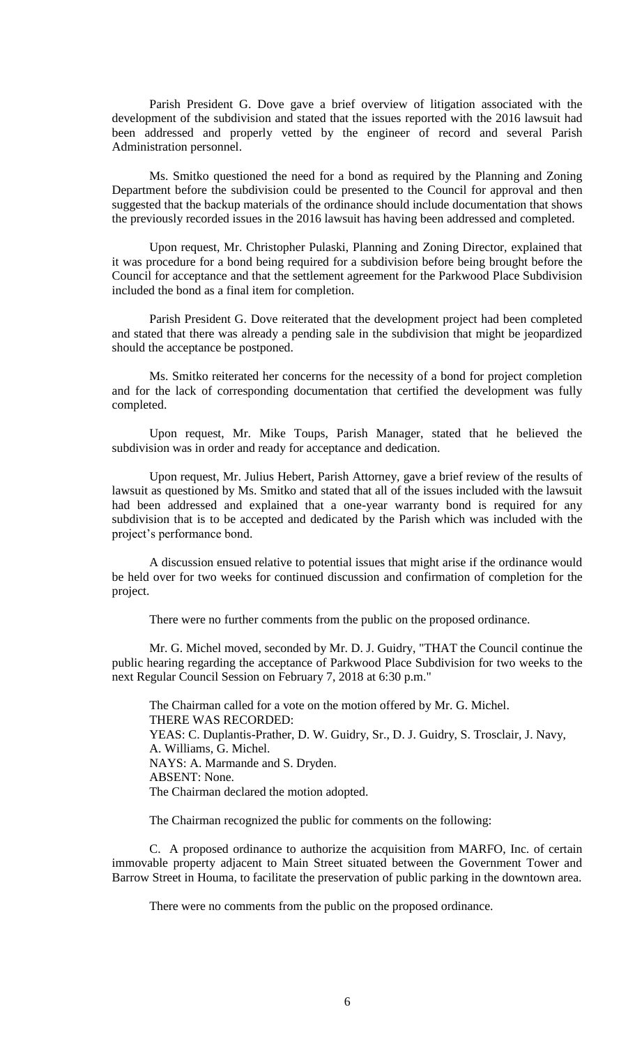Parish President G. Dove gave a brief overview of litigation associated with the development of the subdivision and stated that the issues reported with the 2016 lawsuit had been addressed and properly vetted by the engineer of record and several Parish Administration personnel.

Ms. Smitko questioned the need for a bond as required by the Planning and Zoning Department before the subdivision could be presented to the Council for approval and then suggested that the backup materials of the ordinance should include documentation that shows the previously recorded issues in the 2016 lawsuit has having been addressed and completed.

Upon request, Mr. Christopher Pulaski, Planning and Zoning Director, explained that it was procedure for a bond being required for a subdivision before being brought before the Council for acceptance and that the settlement agreement for the Parkwood Place Subdivision included the bond as a final item for completion.

Parish President G. Dove reiterated that the development project had been completed and stated that there was already a pending sale in the subdivision that might be jeopardized should the acceptance be postponed.

Ms. Smitko reiterated her concerns for the necessity of a bond for project completion and for the lack of corresponding documentation that certified the development was fully completed.

Upon request, Mr. Mike Toups, Parish Manager, stated that he believed the subdivision was in order and ready for acceptance and dedication.

Upon request, Mr. Julius Hebert, Parish Attorney, gave a brief review of the results of lawsuit as questioned by Ms. Smitko and stated that all of the issues included with the lawsuit had been addressed and explained that a one-year warranty bond is required for any subdivision that is to be accepted and dedicated by the Parish which was included with the project's performance bond.

A discussion ensued relative to potential issues that might arise if the ordinance would be held over for two weeks for continued discussion and confirmation of completion for the project.

There were no further comments from the public on the proposed ordinance.

Mr. G. Michel moved, seconded by Mr. D. J. Guidry, "THAT the Council continue the public hearing regarding the acceptance of Parkwood Place Subdivision for two weeks to the next Regular Council Session on February 7, 2018 at 6:30 p.m."

The Chairman called for a vote on the motion offered by Mr. G. Michel. THERE WAS RECORDED: YEAS: C. Duplantis-Prather, D. W. Guidry, Sr., D. J. Guidry, S. Trosclair, J. Navy, A. Williams, G. Michel. NAYS: A. Marmande and S. Dryden. ABSENT: None. The Chairman declared the motion adopted.

The Chairman recognized the public for comments on the following:

C. A proposed ordinance to authorize the acquisition from MARFO, Inc. of certain immovable property adjacent to Main Street situated between the Government Tower and Barrow Street in Houma, to facilitate the preservation of public parking in the downtown area.

There were no comments from the public on the proposed ordinance.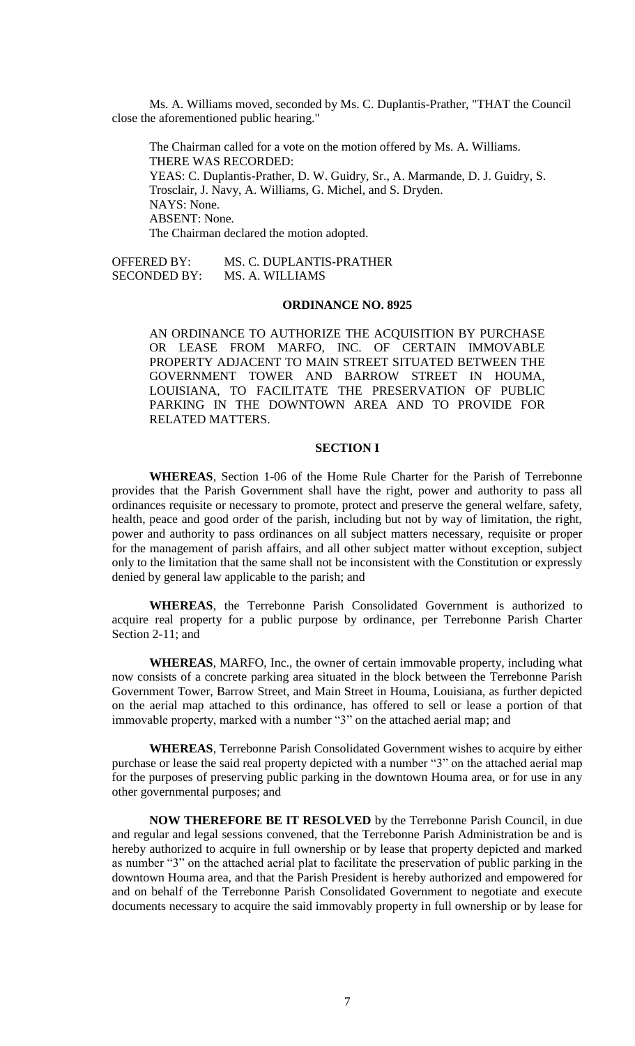Ms. A. Williams moved, seconded by Ms. C. Duplantis-Prather, "THAT the Council close the aforementioned public hearing."

The Chairman called for a vote on the motion offered by Ms. A. Williams. THERE WAS RECORDED: YEAS: C. Duplantis-Prather, D. W. Guidry, Sr., A. Marmande, D. J. Guidry, S. Trosclair, J. Navy, A. Williams, G. Michel, and S. Dryden. NAYS: None. ABSENT: None. The Chairman declared the motion adopted.

OFFERED BY: MS. C. DUPLANTIS-PRATHER SECONDED BY: MS. A. WILLIAMS

# **ORDINANCE NO. 8925**

AN ORDINANCE TO AUTHORIZE THE ACQUISITION BY PURCHASE OR LEASE FROM MARFO, INC. OF CERTAIN IMMOVABLE PROPERTY ADJACENT TO MAIN STREET SITUATED BETWEEN THE GOVERNMENT TOWER AND BARROW STREET IN HOUMA, LOUISIANA, TO FACILITATE THE PRESERVATION OF PUBLIC PARKING IN THE DOWNTOWN AREA AND TO PROVIDE FOR RELATED MATTERS.

# **SECTION I**

**WHEREAS**, Section 1-06 of the Home Rule Charter for the Parish of Terrebonne provides that the Parish Government shall have the right, power and authority to pass all ordinances requisite or necessary to promote, protect and preserve the general welfare, safety, health, peace and good order of the parish, including but not by way of limitation, the right, power and authority to pass ordinances on all subject matters necessary, requisite or proper for the management of parish affairs, and all other subject matter without exception, subject only to the limitation that the same shall not be inconsistent with the Constitution or expressly denied by general law applicable to the parish; and

**WHEREAS**, the Terrebonne Parish Consolidated Government is authorized to acquire real property for a public purpose by ordinance, per Terrebonne Parish Charter Section 2-11; and

**WHEREAS**, MARFO, Inc., the owner of certain immovable property, including what now consists of a concrete parking area situated in the block between the Terrebonne Parish Government Tower, Barrow Street, and Main Street in Houma, Louisiana, as further depicted on the aerial map attached to this ordinance, has offered to sell or lease a portion of that immovable property, marked with a number "3" on the attached aerial map; and

**WHEREAS**, Terrebonne Parish Consolidated Government wishes to acquire by either purchase or lease the said real property depicted with a number "3" on the attached aerial map for the purposes of preserving public parking in the downtown Houma area, or for use in any other governmental purposes; and

**NOW THEREFORE BE IT RESOLVED** by the Terrebonne Parish Council, in due and regular and legal sessions convened, that the Terrebonne Parish Administration be and is hereby authorized to acquire in full ownership or by lease that property depicted and marked as number "3" on the attached aerial plat to facilitate the preservation of public parking in the downtown Houma area, and that the Parish President is hereby authorized and empowered for and on behalf of the Terrebonne Parish Consolidated Government to negotiate and execute documents necessary to acquire the said immovably property in full ownership or by lease for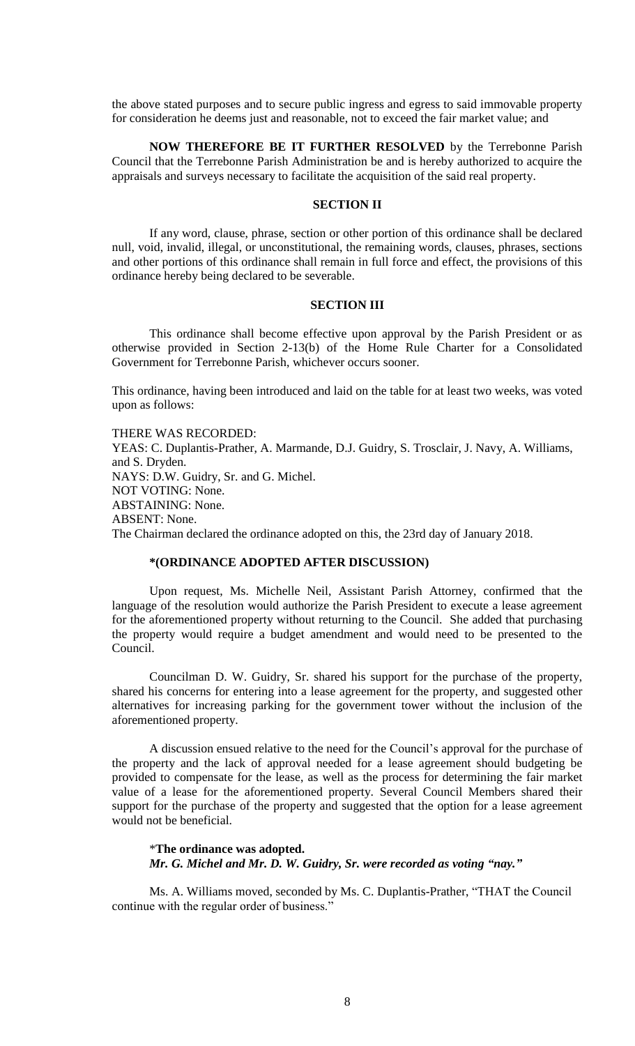the above stated purposes and to secure public ingress and egress to said immovable property for consideration he deems just and reasonable, not to exceed the fair market value; and

**NOW THEREFORE BE IT FURTHER RESOLVED** by the Terrebonne Parish Council that the Terrebonne Parish Administration be and is hereby authorized to acquire the appraisals and surveys necessary to facilitate the acquisition of the said real property.

### **SECTION II**

If any word, clause, phrase, section or other portion of this ordinance shall be declared null, void, invalid, illegal, or unconstitutional, the remaining words, clauses, phrases, sections and other portions of this ordinance shall remain in full force and effect, the provisions of this ordinance hereby being declared to be severable.

### **SECTION III**

This ordinance shall become effective upon approval by the Parish President or as otherwise provided in Section 2-13(b) of the Home Rule Charter for a Consolidated Government for Terrebonne Parish, whichever occurs sooner.

This ordinance, having been introduced and laid on the table for at least two weeks, was voted upon as follows:

THERE WAS RECORDED: YEAS: C. Duplantis-Prather, A. Marmande, D.J. Guidry, S. Trosclair, J. Navy, A. Williams, and S. Dryden. NAYS: D.W. Guidry, Sr. and G. Michel. NOT VOTING: None. ABSTAINING: None. ABSENT: None. The Chairman declared the ordinance adopted on this, the 23rd day of January 2018.

# **\*(ORDINANCE ADOPTED AFTER DISCUSSION)**

Upon request, Ms. Michelle Neil, Assistant Parish Attorney, confirmed that the language of the resolution would authorize the Parish President to execute a lease agreement for the aforementioned property without returning to the Council. She added that purchasing the property would require a budget amendment and would need to be presented to the Council.

Councilman D. W. Guidry, Sr. shared his support for the purchase of the property, shared his concerns for entering into a lease agreement for the property, and suggested other alternatives for increasing parking for the government tower without the inclusion of the aforementioned property.

A discussion ensued relative to the need for the Council's approval for the purchase of the property and the lack of approval needed for a lease agreement should budgeting be provided to compensate for the lease, as well as the process for determining the fair market value of a lease for the aforementioned property. Several Council Members shared their support for the purchase of the property and suggested that the option for a lease agreement would not be beneficial.

## \***The ordinance was adopted.** *Mr. G. Michel and Mr. D. W. Guidry, Sr. were recorded as voting "nay."*

Ms. A. Williams moved, seconded by Ms. C. Duplantis-Prather, "THAT the Council continue with the regular order of business."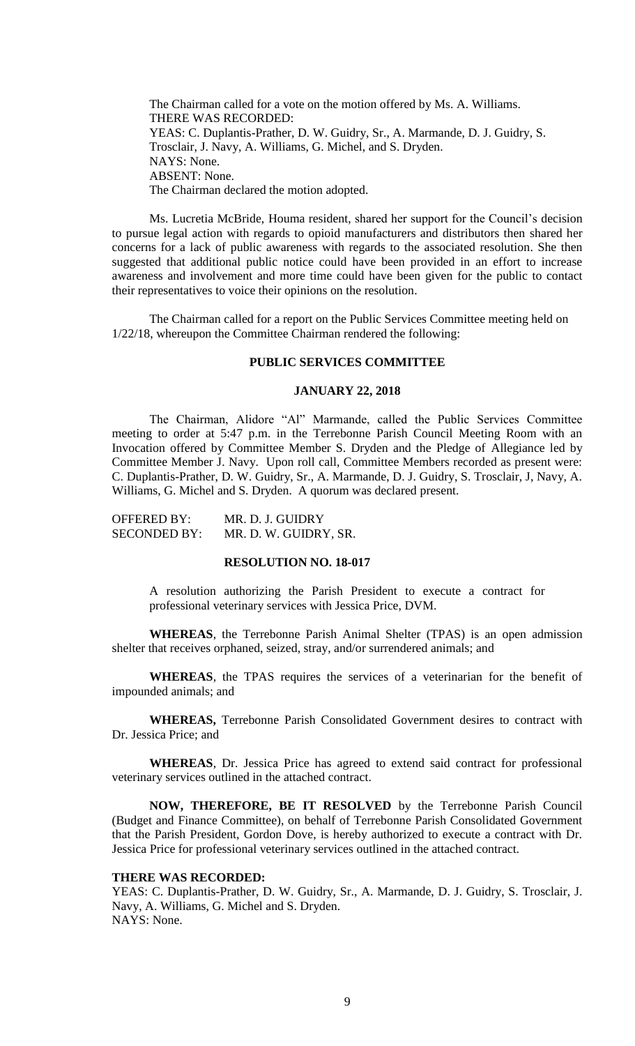The Chairman called for a vote on the motion offered by Ms. A. Williams. THERE WAS RECORDED: YEAS: C. Duplantis-Prather, D. W. Guidry, Sr., A. Marmande, D. J. Guidry, S. Trosclair, J. Navy, A. Williams, G. Michel, and S. Dryden. NAYS: None. ABSENT: None. The Chairman declared the motion adopted.

Ms. Lucretia McBride, Houma resident, shared her support for the Council's decision to pursue legal action with regards to opioid manufacturers and distributors then shared her concerns for a lack of public awareness with regards to the associated resolution. She then suggested that additional public notice could have been provided in an effort to increase awareness and involvement and more time could have been given for the public to contact their representatives to voice their opinions on the resolution.

The Chairman called for a report on the Public Services Committee meeting held on 1/22/18, whereupon the Committee Chairman rendered the following:

#### **PUBLIC SERVICES COMMITTEE**

#### **JANUARY 22, 2018**

The Chairman, Alidore "Al" Marmande, called the Public Services Committee meeting to order at 5:47 p.m. in the Terrebonne Parish Council Meeting Room with an Invocation offered by Committee Member S. Dryden and the Pledge of Allegiance led by Committee Member J. Navy. Upon roll call, Committee Members recorded as present were: C. Duplantis-Prather, D. W. Guidry, Sr., A. Marmande, D. J. Guidry, S. Trosclair, J, Navy, A. Williams, G. Michel and S. Dryden. A quorum was declared present.

| <b>OFFERED BY:</b>  | MR. D. J. GUIDRY      |
|---------------------|-----------------------|
| <b>SECONDED BY:</b> | MR. D. W. GUIDRY, SR. |

### **RESOLUTION NO. 18-017**

A resolution authorizing the Parish President to execute a contract for professional veterinary services with Jessica Price, DVM.

**WHEREAS**, the Terrebonne Parish Animal Shelter (TPAS) is an open admission shelter that receives orphaned, seized, stray, and/or surrendered animals; and

**WHEREAS**, the TPAS requires the services of a veterinarian for the benefit of impounded animals; and

**WHEREAS,** Terrebonne Parish Consolidated Government desires to contract with Dr. Jessica Price; and

**WHEREAS**, Dr. Jessica Price has agreed to extend said contract for professional veterinary services outlined in the attached contract.

**NOW, THEREFORE, BE IT RESOLVED** by the Terrebonne Parish Council (Budget and Finance Committee), on behalf of Terrebonne Parish Consolidated Government that the Parish President, Gordon Dove, is hereby authorized to execute a contract with Dr. Jessica Price for professional veterinary services outlined in the attached contract.

#### **THERE WAS RECORDED:**

YEAS: C. Duplantis-Prather, D. W. Guidry, Sr., A. Marmande, D. J. Guidry, S. Trosclair, J. Navy, A. Williams, G. Michel and S. Dryden. NAYS: None.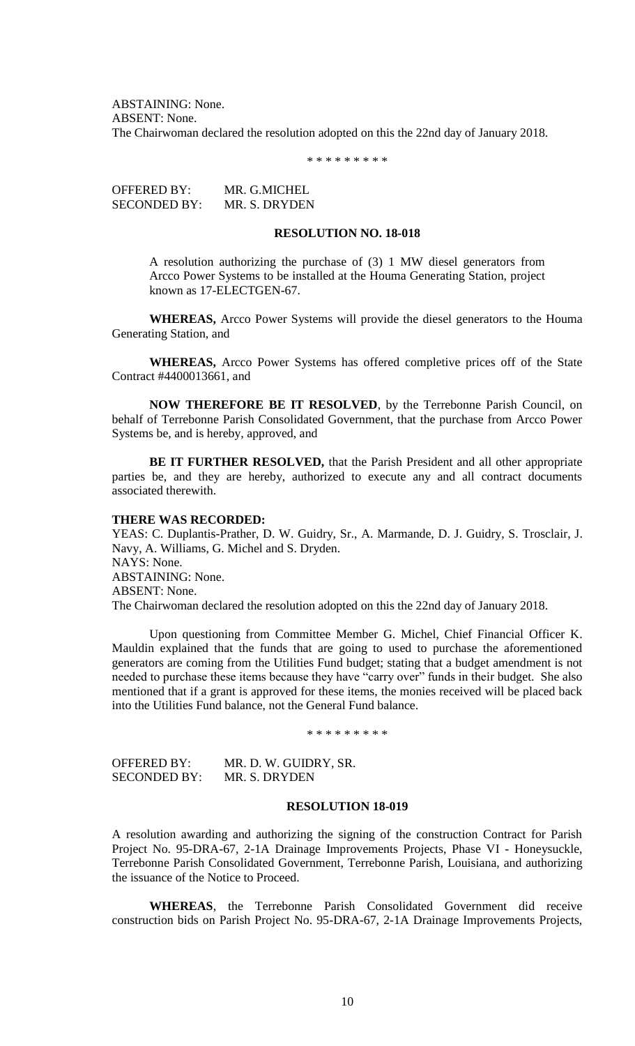ABSTAINING: None. ABSENT: None. The Chairwoman declared the resolution adopted on this the 22nd day of January 2018.

\* \* \* \* \* \* \* \* \*

OFFERED BY: MR. G.MICHEL SECONDED BY: MR. S. DRYDEN

#### **RESOLUTION NO. 18-018**

A resolution authorizing the purchase of (3) 1 MW diesel generators from Arcco Power Systems to be installed at the Houma Generating Station, project known as 17-ELECTGEN-67.

**WHEREAS,** Arcco Power Systems will provide the diesel generators to the Houma Generating Station, and

**WHEREAS,** Arcco Power Systems has offered completive prices off of the State Contract #4400013661, and

**NOW THEREFORE BE IT RESOLVED**, by the Terrebonne Parish Council, on behalf of Terrebonne Parish Consolidated Government, that the purchase from Arcco Power Systems be, and is hereby, approved, and

**BE IT FURTHER RESOLVED,** that the Parish President and all other appropriate parties be, and they are hereby, authorized to execute any and all contract documents associated therewith.

### **THERE WAS RECORDED:**

YEAS: C. Duplantis-Prather, D. W. Guidry, Sr., A. Marmande, D. J. Guidry, S. Trosclair, J. Navy, A. Williams, G. Michel and S. Dryden. NAYS: None. ABSTAINING: None. ABSENT: None. The Chairwoman declared the resolution adopted on this the 22nd day of January 2018.

Upon questioning from Committee Member G. Michel, Chief Financial Officer K. Mauldin explained that the funds that are going to used to purchase the aforementioned generators are coming from the Utilities Fund budget; stating that a budget amendment is not needed to purchase these items because they have "carry over" funds in their budget. She also mentioned that if a grant is approved for these items, the monies received will be placed back into the Utilities Fund balance, not the General Fund balance.

\* \* \* \* \* \* \* \* \*

OFFERED BY: MR. D. W. GUIDRY, SR. SECONDED BY: MR. S. DRYDEN

### **RESOLUTION 18-019**

A resolution awarding and authorizing the signing of the construction Contract for Parish Project No. 95-DRA-67, 2-1A Drainage Improvements Projects, Phase VI - Honeysuckle, Terrebonne Parish Consolidated Government, Terrebonne Parish, Louisiana, and authorizing the issuance of the Notice to Proceed.

**WHEREAS**, the Terrebonne Parish Consolidated Government did receive construction bids on Parish Project No. 95-DRA-67, 2-1A Drainage Improvements Projects,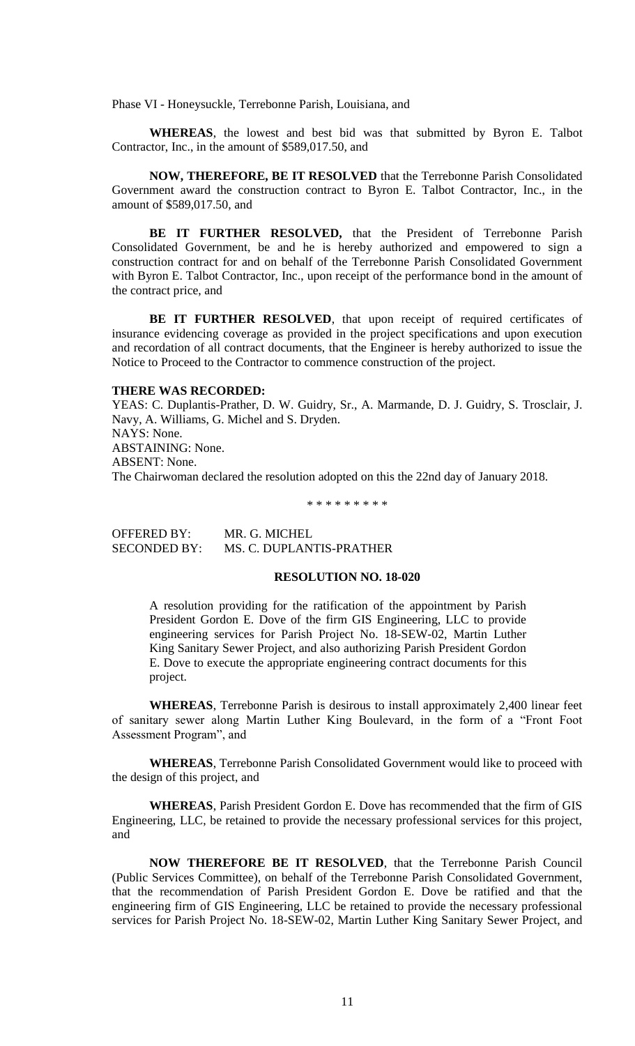Phase VI - Honeysuckle, Terrebonne Parish, Louisiana, and

**WHEREAS**, the lowest and best bid was that submitted by Byron E. Talbot Contractor, Inc., in the amount of \$589,017.50, and

**NOW, THEREFORE, BE IT RESOLVED** that the Terrebonne Parish Consolidated Government award the construction contract to Byron E. Talbot Contractor, Inc., in the amount of \$589,017.50, and

**BE IT FURTHER RESOLVED,** that the President of Terrebonne Parish Consolidated Government, be and he is hereby authorized and empowered to sign a construction contract for and on behalf of the Terrebonne Parish Consolidated Government with Byron E. Talbot Contractor, Inc., upon receipt of the performance bond in the amount of the contract price, and

BE IT FURTHER RESOLVED, that upon receipt of required certificates of insurance evidencing coverage as provided in the project specifications and upon execution and recordation of all contract documents, that the Engineer is hereby authorized to issue the Notice to Proceed to the Contractor to commence construction of the project.

#### **THERE WAS RECORDED:**

YEAS: C. Duplantis-Prather, D. W. Guidry, Sr., A. Marmande, D. J. Guidry, S. Trosclair, J. Navy, A. Williams, G. Michel and S. Dryden. NAYS: None. ABSTAINING: None. ABSENT: None. The Chairwoman declared the resolution adopted on this the 22nd day of January 2018.

\* \* \* \* \* \* \* \* \*

OFFERED BY: MR. G. MICHEL SECONDED BY: MS. C. DUPLANTIS-PRATHER

# **RESOLUTION NO. 18-020**

A resolution providing for the ratification of the appointment by Parish President Gordon E. Dove of the firm GIS Engineering, LLC to provide engineering services for Parish Project No. 18-SEW-02, Martin Luther King Sanitary Sewer Project, and also authorizing Parish President Gordon E. Dove to execute the appropriate engineering contract documents for this project.

**WHEREAS**, Terrebonne Parish is desirous to install approximately 2,400 linear feet of sanitary sewer along Martin Luther King Boulevard, in the form of a "Front Foot Assessment Program", and

**WHEREAS**, Terrebonne Parish Consolidated Government would like to proceed with the design of this project, and

**WHEREAS**, Parish President Gordon E. Dove has recommended that the firm of GIS Engineering, LLC, be retained to provide the necessary professional services for this project, and

**NOW THEREFORE BE IT RESOLVED**, that the Terrebonne Parish Council (Public Services Committee), on behalf of the Terrebonne Parish Consolidated Government, that the recommendation of Parish President Gordon E. Dove be ratified and that the engineering firm of GIS Engineering, LLC be retained to provide the necessary professional services for Parish Project No. 18-SEW-02, Martin Luther King Sanitary Sewer Project, and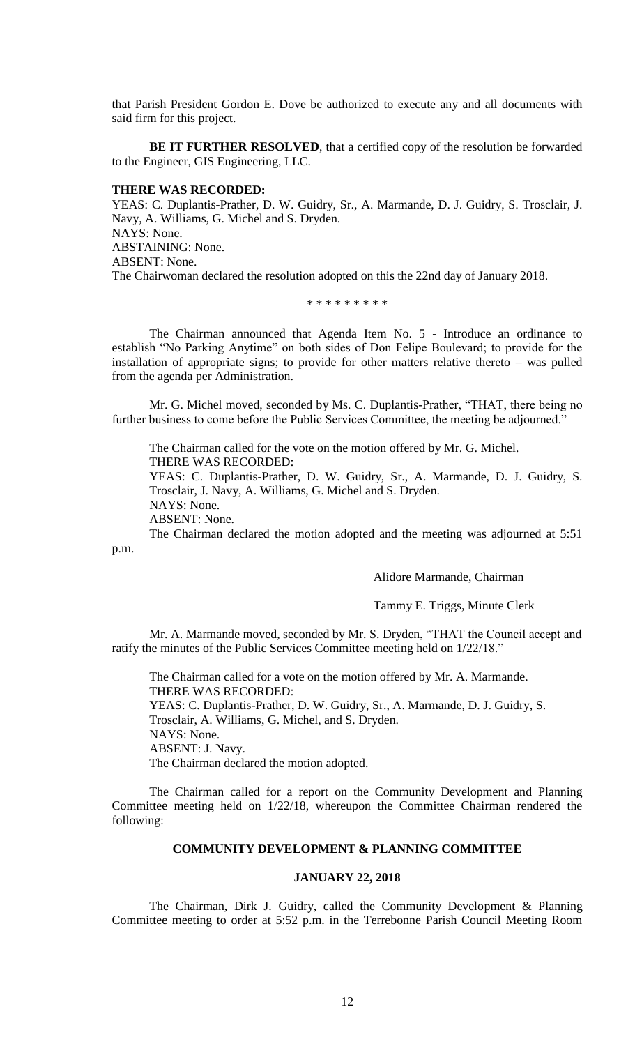that Parish President Gordon E. Dove be authorized to execute any and all documents with said firm for this project.

**BE IT FURTHER RESOLVED**, that a certified copy of the resolution be forwarded to the Engineer, GIS Engineering, LLC.

### **THERE WAS RECORDED:**

YEAS: C. Duplantis-Prather, D. W. Guidry, Sr., A. Marmande, D. J. Guidry, S. Trosclair, J. Navy, A. Williams, G. Michel and S. Dryden. NAYS: None. ABSTAINING: None. ABSENT: None. The Chairwoman declared the resolution adopted on this the 22nd day of January 2018.

\* \* \* \* \* \* \* \* \*

The Chairman announced that Agenda Item No. 5 - Introduce an ordinance to establish "No Parking Anytime" on both sides of Don Felipe Boulevard; to provide for the installation of appropriate signs; to provide for other matters relative thereto – was pulled from the agenda per Administration.

Mr. G. Michel moved, seconded by Ms. C. Duplantis-Prather, "THAT, there being no further business to come before the Public Services Committee, the meeting be adjourned."

The Chairman called for the vote on the motion offered by Mr. G. Michel. THERE WAS RECORDED: YEAS: C. Duplantis-Prather, D. W. Guidry, Sr., A. Marmande, D. J. Guidry, S.

Trosclair, J. Navy, A. Williams, G. Michel and S. Dryden. NAYS: None.

ABSENT: None.

The Chairman declared the motion adopted and the meeting was adjourned at 5:51 p.m.

Alidore Marmande, Chairman

Tammy E. Triggs, Minute Clerk

Mr. A. Marmande moved, seconded by Mr. S. Dryden, "THAT the Council accept and ratify the minutes of the Public Services Committee meeting held on 1/22/18."

The Chairman called for a vote on the motion offered by Mr. A. Marmande. THERE WAS RECORDED: YEAS: C. Duplantis-Prather, D. W. Guidry, Sr., A. Marmande, D. J. Guidry, S. Trosclair, A. Williams, G. Michel, and S. Dryden. NAYS: None. ABSENT: J. Navy. The Chairman declared the motion adopted.

The Chairman called for a report on the Community Development and Planning Committee meeting held on 1/22/18, whereupon the Committee Chairman rendered the following:

#### **COMMUNITY DEVELOPMENT & PLANNING COMMITTEE**

#### **JANUARY 22, 2018**

The Chairman, Dirk J. Guidry, called the Community Development & Planning Committee meeting to order at 5:52 p.m. in the Terrebonne Parish Council Meeting Room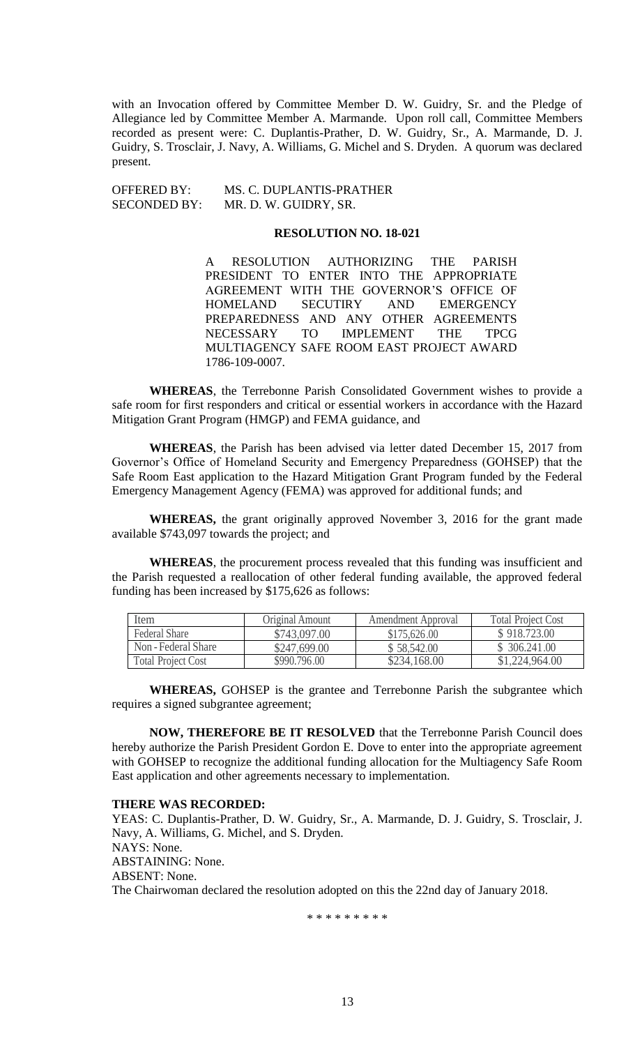with an Invocation offered by Committee Member D. W. Guidry, Sr. and the Pledge of Allegiance led by Committee Member A. Marmande. Upon roll call, Committee Members recorded as present were: C. Duplantis-Prather, D. W. Guidry, Sr., A. Marmande, D. J. Guidry, S. Trosclair, J. Navy, A. Williams, G. Michel and S. Dryden. A quorum was declared present.

OFFERED BY: MS. C. DUPLANTIS-PRATHER SECONDED BY: MR. D. W. GUIDRY, SR.

# **RESOLUTION NO. 18-021**

A RESOLUTION AUTHORIZING THE PARISH PRESIDENT TO ENTER INTO THE APPROPRIATE AGREEMENT WITH THE GOVERNOR'S OFFICE OF HOMELAND SECUTIRY AND EMERGENCY PREPAREDNESS AND ANY OTHER AGREEMENTS NECESSARY TO IMPLEMENT THE TPCG MULTIAGENCY SAFE ROOM EAST PROJECT AWARD 1786-109-0007.

**WHEREAS**, the Terrebonne Parish Consolidated Government wishes to provide a safe room for first responders and critical or essential workers in accordance with the Hazard Mitigation Grant Program (HMGP) and FEMA guidance, and

**WHEREAS**, the Parish has been advised via letter dated December 15, 2017 from Governor's Office of Homeland Security and Emergency Preparedness (GOHSEP) that the Safe Room East application to the Hazard Mitigation Grant Program funded by the Federal Emergency Management Agency (FEMA) was approved for additional funds; and

**WHEREAS,** the grant originally approved November 3, 2016 for the grant made available \$743,097 towards the project; and

**WHEREAS**, the procurement process revealed that this funding was insufficient and the Parish requested a reallocation of other federal funding available, the approved federal funding has been increased by \$175,626 as follows:

| Item                      | Original Amount | Amendment Approval | <b>Total Project Cost</b> |
|---------------------------|-----------------|--------------------|---------------------------|
| <b>Federal Share</b>      | \$743,097.00    | \$175,626.00       | \$918,723,00              |
| Non - Federal Share       | \$247,699.00    | \$58,542.00        | \$ 306.241.00             |
| <b>Total Project Cost</b> | \$990.796.00    | \$234,168.00       | \$1,224,964.00            |

**WHEREAS,** GOHSEP is the grantee and Terrebonne Parish the subgrantee which requires a signed subgrantee agreement;

**NOW, THEREFORE BE IT RESOLVED** that the Terrebonne Parish Council does hereby authorize the Parish President Gordon E. Dove to enter into the appropriate agreement with GOHSEP to recognize the additional funding allocation for the Multiagency Safe Room East application and other agreements necessary to implementation.

#### **THERE WAS RECORDED:**

YEAS: C. Duplantis-Prather, D. W. Guidry, Sr., A. Marmande, D. J. Guidry, S. Trosclair, J. Navy, A. Williams, G. Michel, and S. Dryden. NAYS: None. ABSTAINING: None. ABSENT: None. The Chairwoman declared the resolution adopted on this the 22nd day of January 2018.

\* \* \* \* \* \* \* \* \*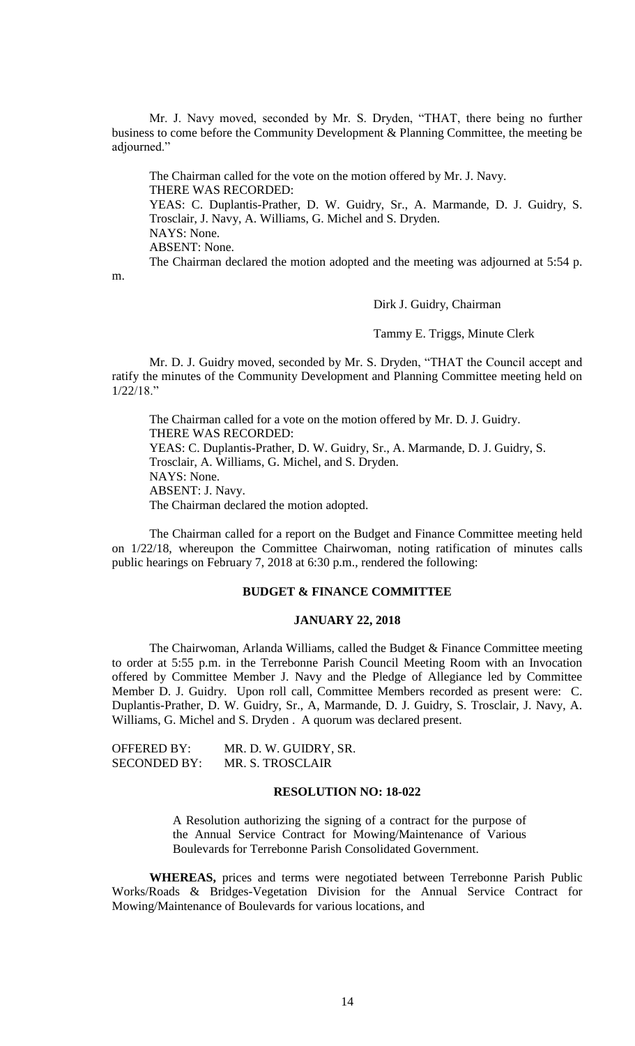Mr. J. Navy moved, seconded by Mr. S. Dryden, "THAT, there being no further business to come before the Community Development & Planning Committee, the meeting be adiourned."

The Chairman called for the vote on the motion offered by Mr. J. Navy. THERE WAS RECORDED: YEAS: C. Duplantis-Prather, D. W. Guidry, Sr., A. Marmande, D. J. Guidry, S. Trosclair, J. Navy, A. Williams, G. Michel and S. Dryden. NAYS: None. ABSENT: None. The Chairman declared the motion adopted and the meeting was adjourned at 5:54 p.

m.

## Dirk J. Guidry, Chairman

Tammy E. Triggs, Minute Clerk

Mr. D. J. Guidry moved, seconded by Mr. S. Dryden, "THAT the Council accept and ratify the minutes of the Community Development and Planning Committee meeting held on 1/22/18."

The Chairman called for a vote on the motion offered by Mr. D. J. Guidry. THERE WAS RECORDED: YEAS: C. Duplantis-Prather, D. W. Guidry, Sr., A. Marmande, D. J. Guidry, S. Trosclair, A. Williams, G. Michel, and S. Dryden. NAYS: None. ABSENT: J. Navy. The Chairman declared the motion adopted.

The Chairman called for a report on the Budget and Finance Committee meeting held on 1/22/18, whereupon the Committee Chairwoman, noting ratification of minutes calls public hearings on February 7, 2018 at 6:30 p.m., rendered the following:

# **BUDGET & FINANCE COMMITTEE**

#### **JANUARY 22, 2018**

The Chairwoman, Arlanda Williams, called the Budget & Finance Committee meeting to order at 5:55 p.m. in the Terrebonne Parish Council Meeting Room with an Invocation offered by Committee Member J. Navy and the Pledge of Allegiance led by Committee Member D. J. Guidry. Upon roll call, Committee Members recorded as present were: C. Duplantis-Prather, D. W. Guidry, Sr., A, Marmande, D. J. Guidry, S. Trosclair, J. Navy, A. Williams, G. Michel and S. Dryden . A quorum was declared present.

| <b>OFFERED BY:</b>  | MR. D. W. GUIDRY, SR. |
|---------------------|-----------------------|
| <b>SECONDED BY:</b> | MR. S. TROSCLAIR      |

### **RESOLUTION NO: 18-022**

A Resolution authorizing the signing of a contract for the purpose of the Annual Service Contract for Mowing/Maintenance of Various Boulevards for Terrebonne Parish Consolidated Government.

**WHEREAS,** prices and terms were negotiated between Terrebonne Parish Public Works/Roads & Bridges-Vegetation Division for the Annual Service Contract for Mowing/Maintenance of Boulevards for various locations, and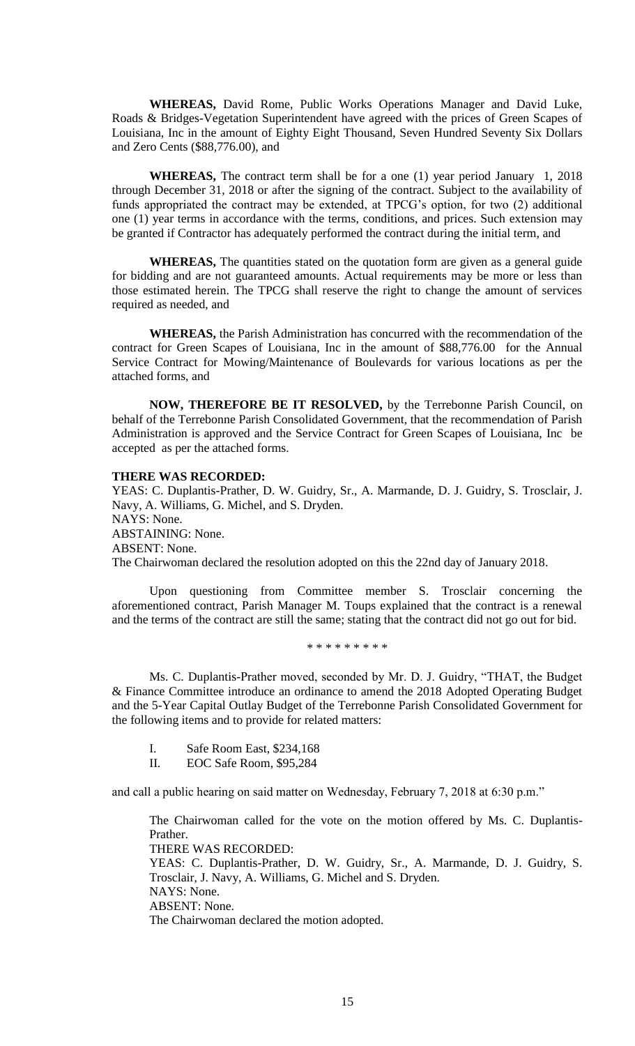**WHEREAS,** David Rome, Public Works Operations Manager and David Luke, Roads & Bridges-Vegetation Superintendent have agreed with the prices of Green Scapes of Louisiana, Inc in the amount of Eighty Eight Thousand, Seven Hundred Seventy Six Dollars and Zero Cents (\$88,776.00), and

**WHEREAS,** The contract term shall be for a one (1) year period January 1, 2018 through December 31, 2018 or after the signing of the contract. Subject to the availability of funds appropriated the contract may be extended, at TPCG's option, for two (2) additional one (1) year terms in accordance with the terms, conditions, and prices. Such extension may be granted if Contractor has adequately performed the contract during the initial term, and

**WHEREAS,** The quantities stated on the quotation form are given as a general guide for bidding and are not guaranteed amounts. Actual requirements may be more or less than those estimated herein. The TPCG shall reserve the right to change the amount of services required as needed, and

**WHEREAS,** the Parish Administration has concurred with the recommendation of the contract for Green Scapes of Louisiana, Inc in the amount of \$88,776.00 for the Annual Service Contract for Mowing/Maintenance of Boulevards for various locations as per the attached forms, and

**NOW, THEREFORE BE IT RESOLVED,** by the Terrebonne Parish Council, on behalf of the Terrebonne Parish Consolidated Government, that the recommendation of Parish Administration is approved and the Service Contract for Green Scapes of Louisiana, Inc be accepted as per the attached forms.

#### **THERE WAS RECORDED:**

YEAS: C. Duplantis-Prather, D. W. Guidry, Sr., A. Marmande, D. J. Guidry, S. Trosclair, J. Navy, A. Williams, G. Michel, and S. Dryden. NAYS: None. ABSTAINING: None. ABSENT: None. The Chairwoman declared the resolution adopted on this the 22nd day of January 2018.

Upon questioning from Committee member S. Trosclair concerning the aforementioned contract, Parish Manager M. Toups explained that the contract is a renewal and the terms of the contract are still the same; stating that the contract did not go out for bid.

\* \* \* \* \* \* \* \* \*

Ms. C. Duplantis-Prather moved, seconded by Mr. D. J. Guidry, "THAT, the Budget & Finance Committee introduce an ordinance to amend the 2018 Adopted Operating Budget and the 5-Year Capital Outlay Budget of the Terrebonne Parish Consolidated Government for the following items and to provide for related matters:

- I. Safe Room East, \$234,168
- II. EOC Safe Room, \$95,284

and call a public hearing on said matter on Wednesday, February 7, 2018 at 6:30 p.m."

The Chairwoman called for the vote on the motion offered by Ms. C. Duplantis-Prather. THERE WAS RECORDED:

YEAS: C. Duplantis-Prather, D. W. Guidry, Sr., A. Marmande, D. J. Guidry, S. Trosclair, J. Navy, A. Williams, G. Michel and S. Dryden. NAYS: None. ABSENT: None. The Chairwoman declared the motion adopted.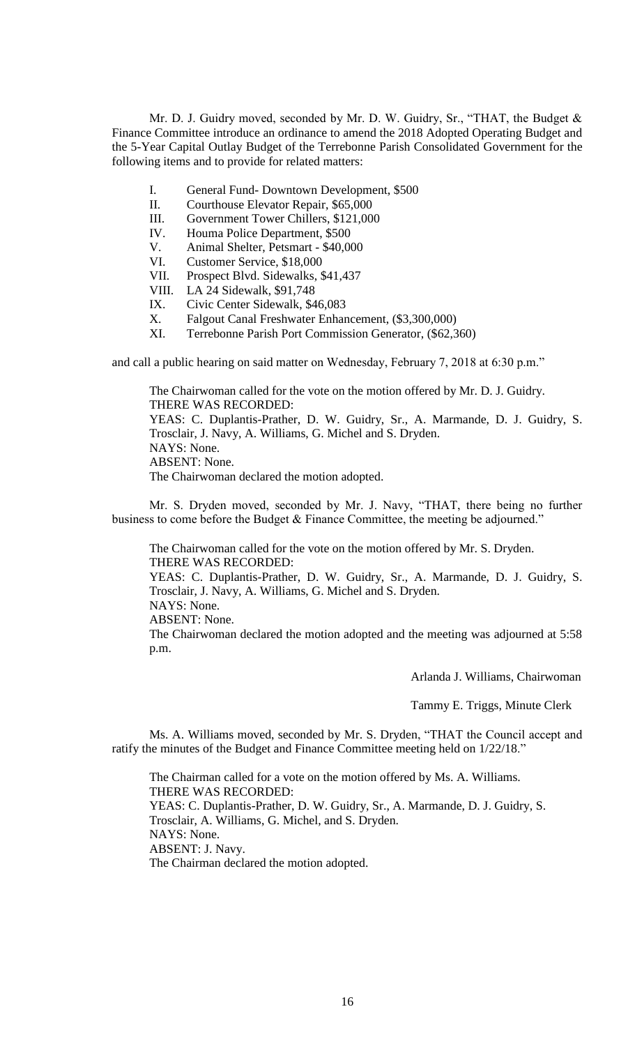Mr. D. J. Guidry moved, seconded by Mr. D. W. Guidry, Sr., "THAT, the Budget & Finance Committee introduce an ordinance to amend the 2018 Adopted Operating Budget and the 5-Year Capital Outlay Budget of the Terrebonne Parish Consolidated Government for the following items and to provide for related matters:

- I. General Fund- Downtown Development, \$500
- II. Courthouse Elevator Repair, \$65,000
- III. Government Tower Chillers, \$121,000
- IV. Houma Police Department, \$500
- V. Animal Shelter, Petsmart \$40,000
- VI. Customer Service, \$18,000
- VII. Prospect Blvd. Sidewalks, \$41,437
- VIII. LA 24 Sidewalk, \$91,748
- IX. Civic Center Sidewalk, \$46,083
- X. Falgout Canal Freshwater Enhancement, (\$3,300,000)
- XI. Terrebonne Parish Port Commission Generator, (\$62,360)

and call a public hearing on said matter on Wednesday, February 7, 2018 at 6:30 p.m."

The Chairwoman called for the vote on the motion offered by Mr. D. J. Guidry. THERE WAS RECORDED: YEAS: C. Duplantis-Prather, D. W. Guidry, Sr., A. Marmande, D. J. Guidry, S. Trosclair, J. Navy, A. Williams, G. Michel and S. Dryden. NAYS: None. ABSENT: None. The Chairwoman declared the motion adopted.

Mr. S. Dryden moved, seconded by Mr. J. Navy, "THAT, there being no further business to come before the Budget & Finance Committee, the meeting be adjourned."

The Chairwoman called for the vote on the motion offered by Mr. S. Dryden. THERE WAS RECORDED: YEAS: C. Duplantis-Prather, D. W. Guidry, Sr., A. Marmande, D. J. Guidry, S. Trosclair, J. Navy, A. Williams, G. Michel and S. Dryden. NAYS: None. ABSENT: None. The Chairwoman declared the motion adopted and the meeting was adjourned at 5:58 p.m.

Arlanda J. Williams, Chairwoman

Tammy E. Triggs, Minute Clerk

Ms. A. Williams moved, seconded by Mr. S. Dryden, "THAT the Council accept and ratify the minutes of the Budget and Finance Committee meeting held on 1/22/18."

The Chairman called for a vote on the motion offered by Ms. A. Williams. THERE WAS RECORDED: YEAS: C. Duplantis-Prather, D. W. Guidry, Sr., A. Marmande, D. J. Guidry, S. Trosclair, A. Williams, G. Michel, and S. Dryden. NAYS: None. ABSENT: J. Navy. The Chairman declared the motion adopted.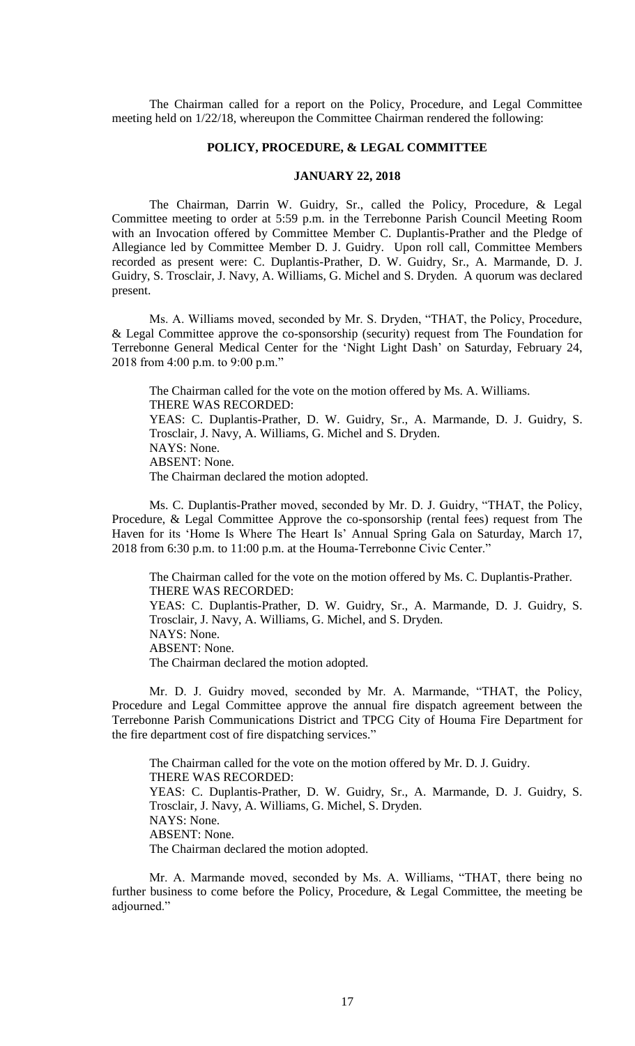The Chairman called for a report on the Policy, Procedure, and Legal Committee meeting held on 1/22/18, whereupon the Committee Chairman rendered the following:

### **POLICY, PROCEDURE, & LEGAL COMMITTEE**

# **JANUARY 22, 2018**

The Chairman, Darrin W. Guidry, Sr., called the Policy, Procedure, & Legal Committee meeting to order at 5:59 p.m. in the Terrebonne Parish Council Meeting Room with an Invocation offered by Committee Member C. Duplantis-Prather and the Pledge of Allegiance led by Committee Member D. J. Guidry. Upon roll call, Committee Members recorded as present were: C. Duplantis-Prather, D. W. Guidry, Sr., A. Marmande, D. J. Guidry, S. Trosclair, J. Navy, A. Williams, G. Michel and S. Dryden. A quorum was declared present.

Ms. A. Williams moved, seconded by Mr. S. Dryden, "THAT, the Policy, Procedure, & Legal Committee approve the co-sponsorship (security) request from The Foundation for Terrebonne General Medical Center for the 'Night Light Dash' on Saturday, February 24, 2018 from 4:00 p.m. to 9:00 p.m."

The Chairman called for the vote on the motion offered by Ms. A. Williams. THERE WAS RECORDED: YEAS: C. Duplantis-Prather, D. W. Guidry, Sr., A. Marmande, D. J. Guidry, S. Trosclair, J. Navy, A. Williams, G. Michel and S. Dryden. NAYS: None. ABSENT: None. The Chairman declared the motion adopted.

Ms. C. Duplantis-Prather moved, seconded by Mr. D. J. Guidry, "THAT, the Policy, Procedure, & Legal Committee Approve the co-sponsorship (rental fees) request from The Haven for its 'Home Is Where The Heart Is' Annual Spring Gala on Saturday, March 17, 2018 from 6:30 p.m. to 11:00 p.m. at the Houma-Terrebonne Civic Center."

The Chairman called for the vote on the motion offered by Ms. C. Duplantis-Prather. THERE WAS RECORDED: YEAS: C. Duplantis-Prather, D. W. Guidry, Sr., A. Marmande, D. J. Guidry, S. Trosclair, J. Navy, A. Williams, G. Michel, and S. Dryden. NAYS: None. ABSENT: None. The Chairman declared the motion adopted.

Mr. D. J. Guidry moved, seconded by Mr. A. Marmande, "THAT, the Policy, Procedure and Legal Committee approve the annual fire dispatch agreement between the Terrebonne Parish Communications District and TPCG City of Houma Fire Department for the fire department cost of fire dispatching services."

The Chairman called for the vote on the motion offered by Mr. D. J. Guidry. THERE WAS RECORDED: YEAS: C. Duplantis-Prather, D. W. Guidry, Sr., A. Marmande, D. J. Guidry, S. Trosclair, J. Navy, A. Williams, G. Michel, S. Dryden. NAYS: None. ABSENT: None. The Chairman declared the motion adopted.

Mr. A. Marmande moved, seconded by Ms. A. Williams, "THAT, there being no further business to come before the Policy, Procedure, & Legal Committee, the meeting be adjourned."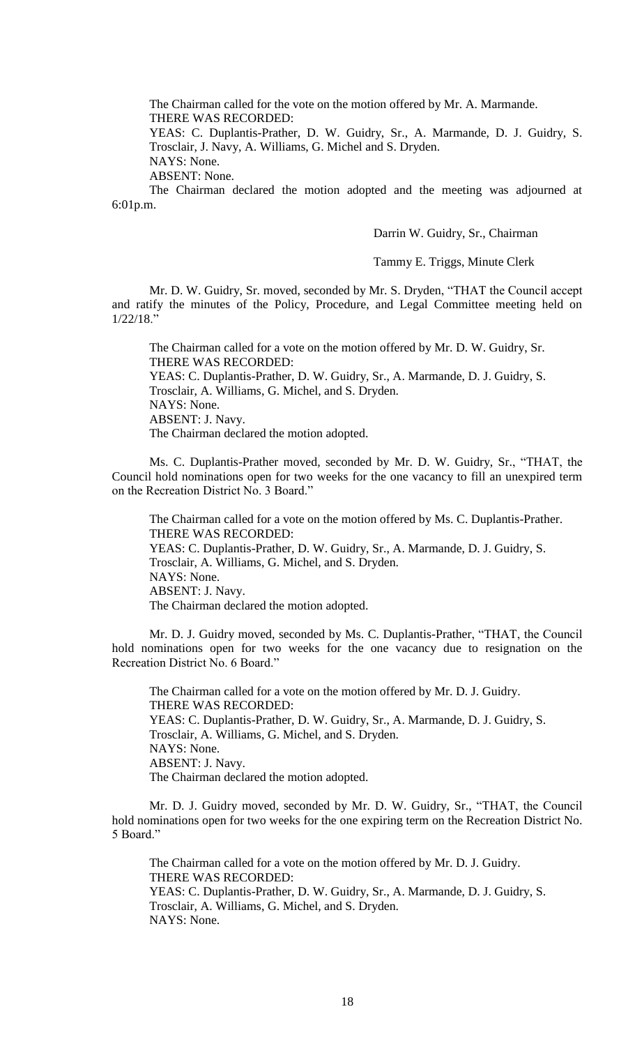The Chairman called for the vote on the motion offered by Mr. A. Marmande. THERE WAS RECORDED:

YEAS: C. Duplantis-Prather, D. W. Guidry, Sr., A. Marmande, D. J. Guidry, S. Trosclair, J. Navy, A. Williams, G. Michel and S. Dryden.

NAYS: None.

ABSENT: None.

The Chairman declared the motion adopted and the meeting was adjourned at 6:01p.m.

#### Darrin W. Guidry, Sr., Chairman

## Tammy E. Triggs, Minute Clerk

Mr. D. W. Guidry, Sr. moved, seconded by Mr. S. Dryden, "THAT the Council accept and ratify the minutes of the Policy, Procedure, and Legal Committee meeting held on 1/22/18."

The Chairman called for a vote on the motion offered by Mr. D. W. Guidry, Sr. THERE WAS RECORDED: YEAS: C. Duplantis-Prather, D. W. Guidry, Sr., A. Marmande, D. J. Guidry, S. Trosclair, A. Williams, G. Michel, and S. Dryden. NAYS: None. ABSENT: J. Navy. The Chairman declared the motion adopted.

Ms. C. Duplantis-Prather moved, seconded by Mr. D. W. Guidry, Sr., "THAT, the Council hold nominations open for two weeks for the one vacancy to fill an unexpired term on the Recreation District No. 3 Board."

The Chairman called for a vote on the motion offered by Ms. C. Duplantis-Prather. THERE WAS RECORDED: YEAS: C. Duplantis-Prather, D. W. Guidry, Sr., A. Marmande, D. J. Guidry, S. Trosclair, A. Williams, G. Michel, and S. Dryden. NAYS: None. ABSENT: J. Navy. The Chairman declared the motion adopted.

Mr. D. J. Guidry moved, seconded by Ms. C. Duplantis-Prather, "THAT, the Council hold nominations open for two weeks for the one vacancy due to resignation on the Recreation District No. 6 Board."

The Chairman called for a vote on the motion offered by Mr. D. J. Guidry. THERE WAS RECORDED: YEAS: C. Duplantis-Prather, D. W. Guidry, Sr., A. Marmande, D. J. Guidry, S. Trosclair, A. Williams, G. Michel, and S. Dryden. NAYS: None. ABSENT: J. Navy. The Chairman declared the motion adopted.

Mr. D. J. Guidry moved, seconded by Mr. D. W. Guidry, Sr., "THAT, the Council hold nominations open for two weeks for the one expiring term on the Recreation District No. 5 Board."

The Chairman called for a vote on the motion offered by Mr. D. J. Guidry. THERE WAS RECORDED: YEAS: C. Duplantis-Prather, D. W. Guidry, Sr., A. Marmande, D. J. Guidry, S. Trosclair, A. Williams, G. Michel, and S. Dryden. NAYS: None.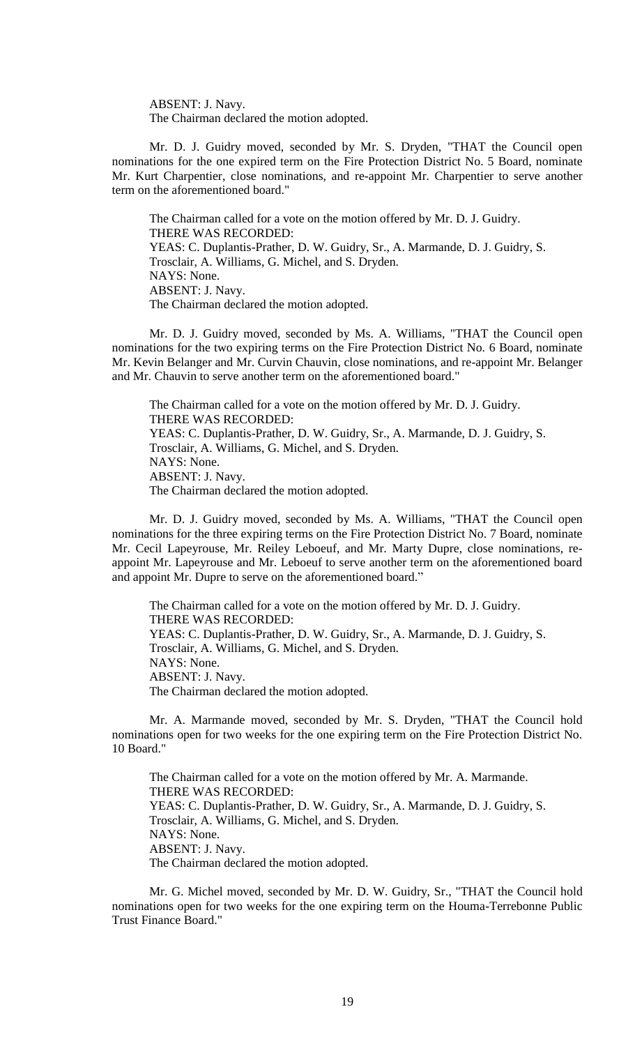ABSENT: J. Navy. The Chairman declared the motion adopted.

Mr. D. J. Guidry moved, seconded by Mr. S. Dryden, "THAT the Council open nominations for the one expired term on the Fire Protection District No. 5 Board, nominate Mr. Kurt Charpentier, close nominations, and re-appoint Mr. Charpentier to serve another term on the aforementioned board."

The Chairman called for a vote on the motion offered by Mr. D. J. Guidry. THERE WAS RECORDED: YEAS: C. Duplantis-Prather, D. W. Guidry, Sr., A. Marmande, D. J. Guidry, S. Trosclair, A. Williams, G. Michel, and S. Dryden. NAYS: None. ABSENT: J. Navy. The Chairman declared the motion adopted.

Mr. D. J. Guidry moved, seconded by Ms. A. Williams, "THAT the Council open nominations for the two expiring terms on the Fire Protection District No. 6 Board, nominate Mr. Kevin Belanger and Mr. Curvin Chauvin, close nominations, and re-appoint Mr. Belanger and Mr. Chauvin to serve another term on the aforementioned board."

The Chairman called for a vote on the motion offered by Mr. D. J. Guidry. THERE WAS RECORDED: YEAS: C. Duplantis-Prather, D. W. Guidry, Sr., A. Marmande, D. J. Guidry, S. Trosclair, A. Williams, G. Michel, and S. Dryden. NAYS: None. ABSENT: J. Navy. The Chairman declared the motion adopted.

Mr. D. J. Guidry moved, seconded by Ms. A. Williams, "THAT the Council open nominations for the three expiring terms on the Fire Protection District No. 7 Board, nominate Mr. Cecil Lapeyrouse, Mr. Reiley Leboeuf, and Mr. Marty Dupre, close nominations, reappoint Mr. Lapeyrouse and Mr. Leboeuf to serve another term on the aforementioned board and appoint Mr. Dupre to serve on the aforementioned board."

The Chairman called for a vote on the motion offered by Mr. D. J. Guidry. THERE WAS RECORDED: YEAS: C. Duplantis-Prather, D. W. Guidry, Sr., A. Marmande, D. J. Guidry, S. Trosclair, A. Williams, G. Michel, and S. Dryden. NAYS: None. ABSENT: J. Navy. The Chairman declared the motion adopted.

Mr. A. Marmande moved, seconded by Mr. S. Dryden, "THAT the Council hold nominations open for two weeks for the one expiring term on the Fire Protection District No. 10 Board."

The Chairman called for a vote on the motion offered by Mr. A. Marmande. THERE WAS RECORDED: YEAS: C. Duplantis-Prather, D. W. Guidry, Sr., A. Marmande, D. J. Guidry, S. Trosclair, A. Williams, G. Michel, and S. Dryden. NAYS: None. ABSENT: J. Navy. The Chairman declared the motion adopted.

Mr. G. Michel moved, seconded by Mr. D. W. Guidry, Sr., "THAT the Council hold nominations open for two weeks for the one expiring term on the Houma-Terrebonne Public Trust Finance Board."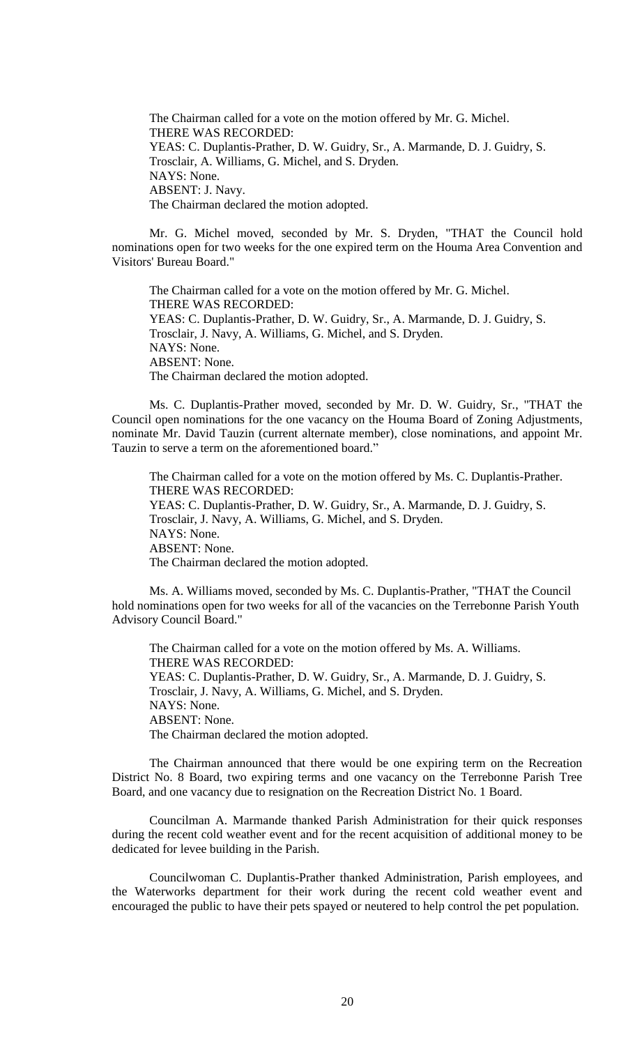The Chairman called for a vote on the motion offered by Mr. G. Michel. THERE WAS RECORDED: YEAS: C. Duplantis-Prather, D. W. Guidry, Sr., A. Marmande, D. J. Guidry, S. Trosclair, A. Williams, G. Michel, and S. Dryden. NAYS: None. ABSENT: J. Navy. The Chairman declared the motion adopted.

Mr. G. Michel moved, seconded by Mr. S. Dryden, "THAT the Council hold nominations open for two weeks for the one expired term on the Houma Area Convention and Visitors' Bureau Board."

The Chairman called for a vote on the motion offered by Mr. G. Michel. THERE WAS RECORDED: YEAS: C. Duplantis-Prather, D. W. Guidry, Sr., A. Marmande, D. J. Guidry, S. Trosclair, J. Navy, A. Williams, G. Michel, and S. Dryden. NAYS: None. ABSENT: None. The Chairman declared the motion adopted.

Ms. C. Duplantis-Prather moved, seconded by Mr. D. W. Guidry, Sr., "THAT the Council open nominations for the one vacancy on the Houma Board of Zoning Adjustments, nominate Mr. David Tauzin (current alternate member), close nominations, and appoint Mr. Tauzin to serve a term on the aforementioned board."

The Chairman called for a vote on the motion offered by Ms. C. Duplantis-Prather. THERE WAS RECORDED: YEAS: C. Duplantis-Prather, D. W. Guidry, Sr., A. Marmande, D. J. Guidry, S. Trosclair, J. Navy, A. Williams, G. Michel, and S. Dryden. NAYS: None. ABSENT: None. The Chairman declared the motion adopted.

Ms. A. Williams moved, seconded by Ms. C. Duplantis-Prather, "THAT the Council hold nominations open for two weeks for all of the vacancies on the Terrebonne Parish Youth Advisory Council Board."

The Chairman called for a vote on the motion offered by Ms. A. Williams. THERE WAS RECORDED: YEAS: C. Duplantis-Prather, D. W. Guidry, Sr., A. Marmande, D. J. Guidry, S. Trosclair, J. Navy, A. Williams, G. Michel, and S. Dryden. NAYS: None. ABSENT: None. The Chairman declared the motion adopted.

The Chairman announced that there would be one expiring term on the Recreation District No. 8 Board, two expiring terms and one vacancy on the Terrebonne Parish Tree Board, and one vacancy due to resignation on the Recreation District No. 1 Board.

Councilman A. Marmande thanked Parish Administration for their quick responses during the recent cold weather event and for the recent acquisition of additional money to be dedicated for levee building in the Parish.

Councilwoman C. Duplantis-Prather thanked Administration, Parish employees, and the Waterworks department for their work during the recent cold weather event and encouraged the public to have their pets spayed or neutered to help control the pet population.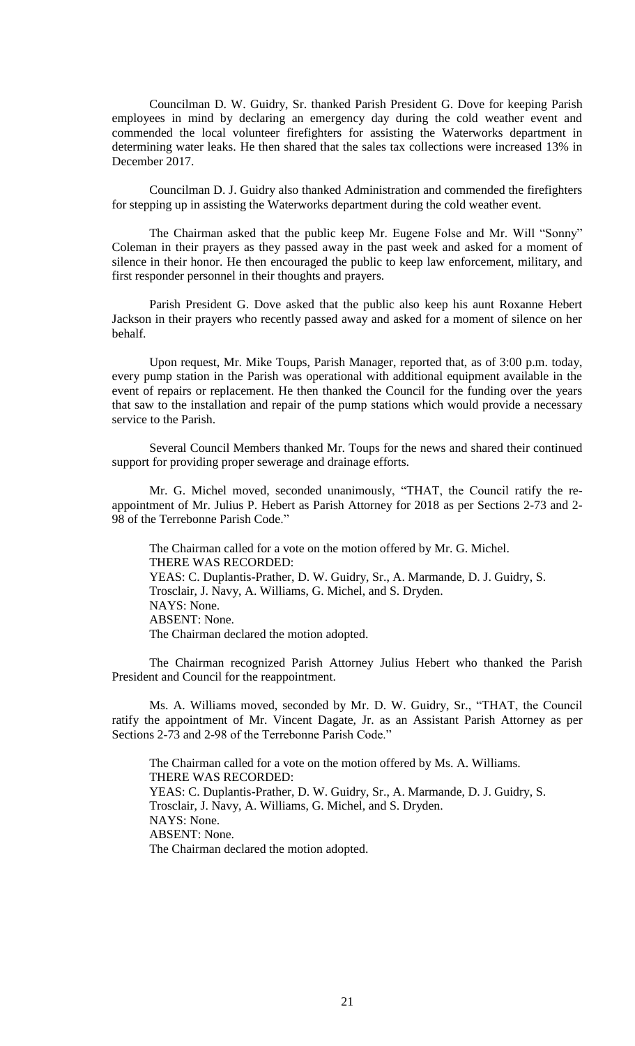Councilman D. W. Guidry, Sr. thanked Parish President G. Dove for keeping Parish employees in mind by declaring an emergency day during the cold weather event and commended the local volunteer firefighters for assisting the Waterworks department in determining water leaks. He then shared that the sales tax collections were increased 13% in December 2017.

Councilman D. J. Guidry also thanked Administration and commended the firefighters for stepping up in assisting the Waterworks department during the cold weather event.

The Chairman asked that the public keep Mr. Eugene Folse and Mr. Will "Sonny" Coleman in their prayers as they passed away in the past week and asked for a moment of silence in their honor. He then encouraged the public to keep law enforcement, military, and first responder personnel in their thoughts and prayers.

Parish President G. Dove asked that the public also keep his aunt Roxanne Hebert Jackson in their prayers who recently passed away and asked for a moment of silence on her behalf.

Upon request, Mr. Mike Toups, Parish Manager, reported that, as of 3:00 p.m. today, every pump station in the Parish was operational with additional equipment available in the event of repairs or replacement. He then thanked the Council for the funding over the years that saw to the installation and repair of the pump stations which would provide a necessary service to the Parish.

Several Council Members thanked Mr. Toups for the news and shared their continued support for providing proper sewerage and drainage efforts.

Mr. G. Michel moved, seconded unanimously, "THAT, the Council ratify the reappointment of Mr. Julius P. Hebert as Parish Attorney for 2018 as per Sections 2-73 and 2- 98 of the Terrebonne Parish Code."

The Chairman called for a vote on the motion offered by Mr. G. Michel. THERE WAS RECORDED: YEAS: C. Duplantis-Prather, D. W. Guidry, Sr., A. Marmande, D. J. Guidry, S. Trosclair, J. Navy, A. Williams, G. Michel, and S. Dryden. NAYS: None. ABSENT: None. The Chairman declared the motion adopted.

The Chairman recognized Parish Attorney Julius Hebert who thanked the Parish President and Council for the reappointment.

Ms. A. Williams moved, seconded by Mr. D. W. Guidry, Sr., "THAT, the Council ratify the appointment of Mr. Vincent Dagate, Jr. as an Assistant Parish Attorney as per Sections 2-73 and 2-98 of the Terrebonne Parish Code."

The Chairman called for a vote on the motion offered by Ms. A. Williams. THERE WAS RECORDED: YEAS: C. Duplantis-Prather, D. W. Guidry, Sr., A. Marmande, D. J. Guidry, S. Trosclair, J. Navy, A. Williams, G. Michel, and S. Dryden. NAYS: None. ABSENT: None. The Chairman declared the motion adopted.